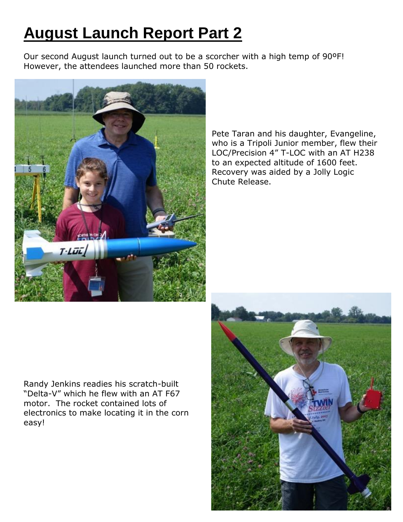## **August Launch Report Part 2**

Our second August launch turned out to be a scorcher with a high temp of 90ºF! However, the attendees launched more than 50 rockets.



Pete Taran and his daughter, Evangeline, who is a Tripoli Junior member, flew their LOC/Precision 4" T-LOC with an AT H238 to an expected altitude of 1600 feet. Recovery was aided by a Jolly Logic Chute Release.

Randy Jenkins readies his scratch-built "Delta-V" which he flew with an AT F67 motor. The rocket contained lots of electronics to make locating it in the corn easy!

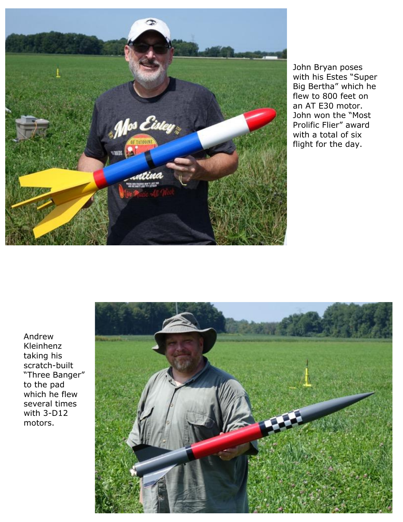

John Bryan poses with his Estes "Super Big Bertha" which he flew to 800 feet on an AT E30 motor. John won the "Most Prolific Flier" award with a total of six flight for the day.

Andrew Kleinhenz taking his scratch-built "Three Banger" to the pad which he flew several times with 3-D12 motors.

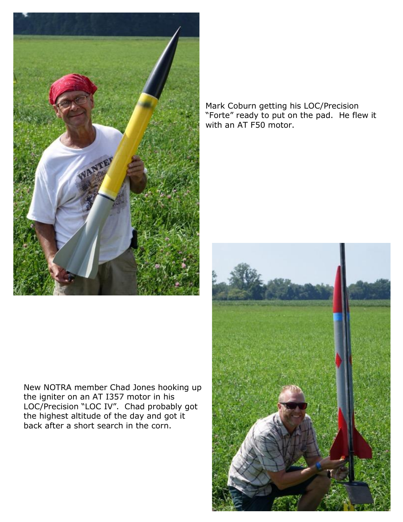

New NOTRA member Chad Jones hooking up the igniter on an AT I357 motor in his LOC/Precision "LOC IV". Chad probably got the highest altitude of the day and got it back after a short search in the corn.

Mark Coburn getting his LOC/Precision "Forte" ready to put on the pad. He flew it with an AT F50 motor.

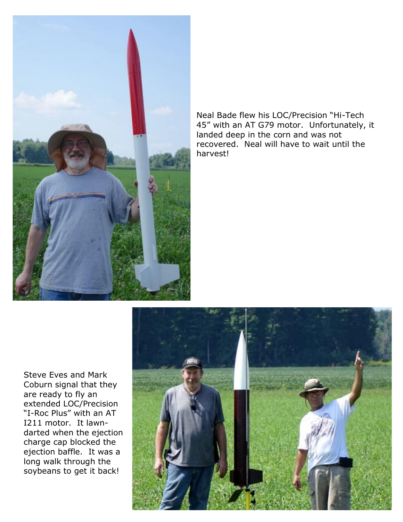

Neal Bade flew his LOC/Precision "Hi-Tech 45" with an AT G79 motor. Unfortunately, it landed deep in the corn and was not recovered. Neal will have to wait until the harvest!

Steve Eves and Mark Coburn signal that they are ready to fly an extended LOC/Precision "I-Roc Plus" with an AT I211 motor. It lawndarted when the ejection charge cap blocked the ejection baffle. It was a long walk through the soybeans to get it back!

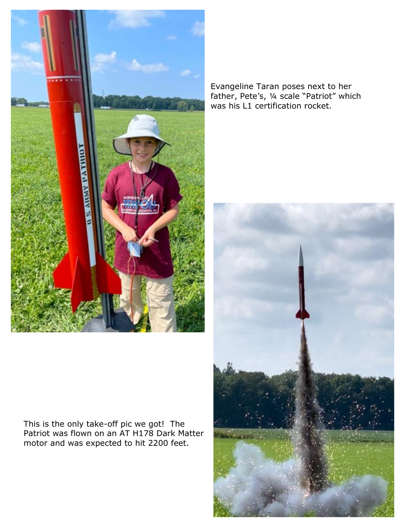

Evangeline Taran poses next to her father, Pete's, ¼ scale "Patriot" which was his L1 certification rocket.



This is the only take-off pic we got! The Patriot was flown on an AT H178 Dark Matter motor and was expected to hit 2200 feet.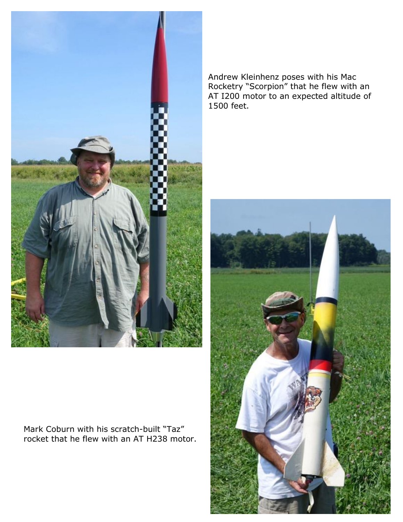

Mark Coburn with his scratch-built "Taz" rocket that he flew with an AT H238 motor. Andrew Kleinhenz poses with his Mac Rocketry "Scorpion" that he flew with an AT I200 motor to an expected altitude of 1500 feet.

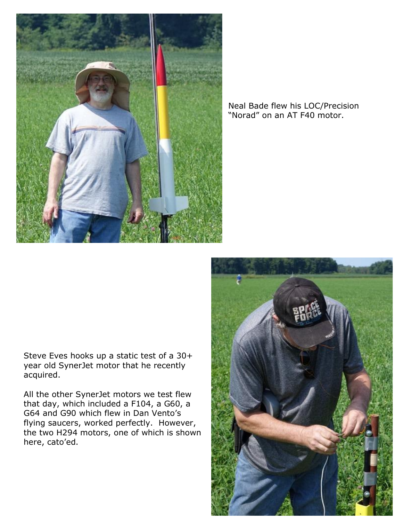

## Neal Bade flew his LOC/Precision "Norad" on an AT F40 motor.

Steve Eves hooks up a static test of a 30+ year old SynerJet motor that he recently acquired.

All the other SynerJet motors we test flew that day, which included a F104, a G60, a G64 and G90 which flew in Dan Vento's flying saucers, worked perfectly. However, the two H294 motors, one of which is shown here, cato'ed.

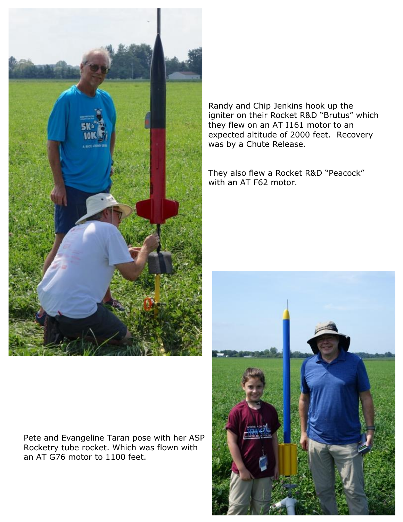

Randy and Chip Jenkins hook up the igniter on their Rocket R&D "Brutus" which they flew on an AT I161 motor to an expected altitude of 2000 feet. Recovery was by a Chute Release.

They also flew a Rocket R&D "Peacock" with an AT F62 motor.



Pete and Evangeline Taran pose with her ASP Rocketry tube rocket. Which was flown with an AT G76 motor to 1100 feet.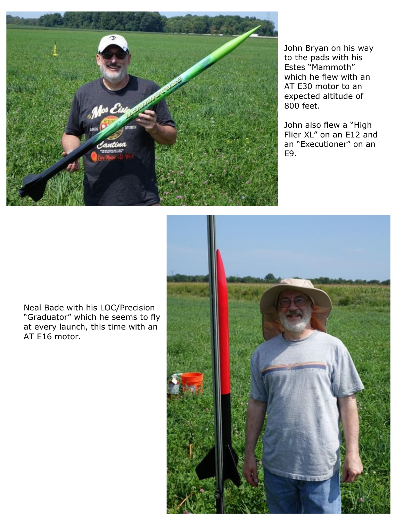

John Bryan on his way to the pads with his Estes "Mammoth" which he flew with an AT E30 motor to an expected altitude of 800 feet.

John also flew a "High Flier XL" on an E12 and an "Executioner" on an E9.

Neal Bade with his LOC/Precision "Graduator" which he seems to fly at every launch, this time with an AT E16 motor.